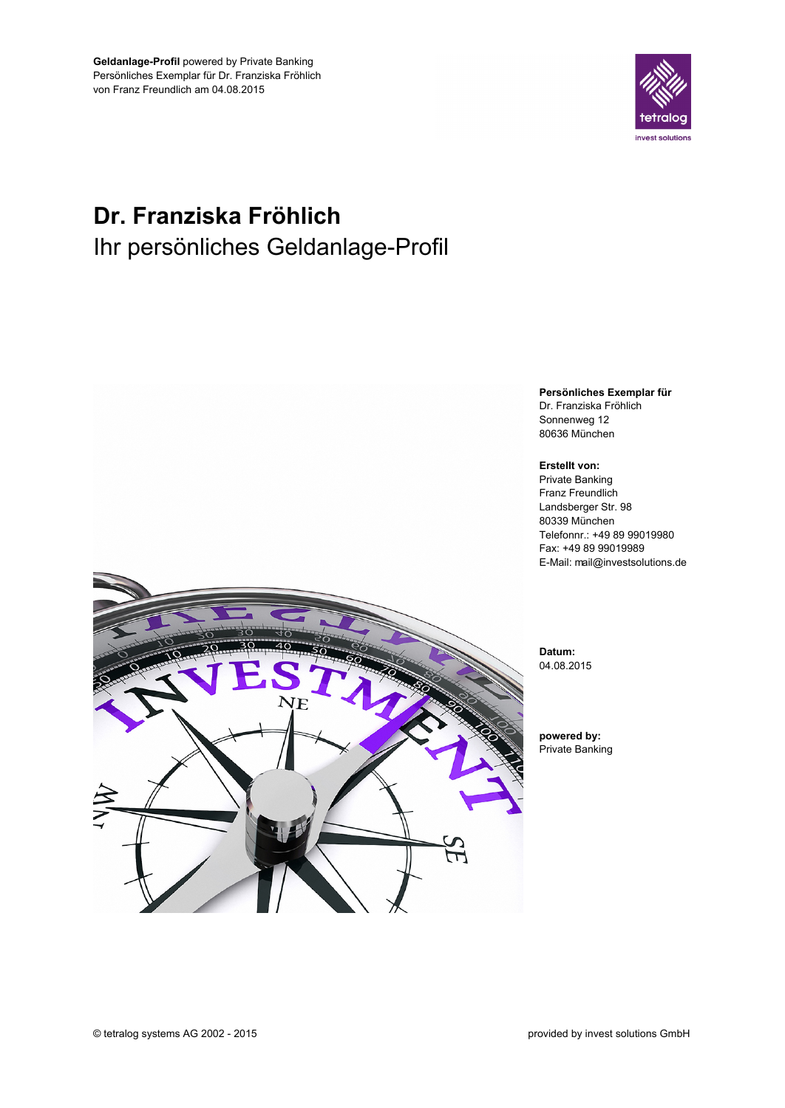

# Dr. Franziska Fröhlich Ihr persönliches Geldanlage-Profil

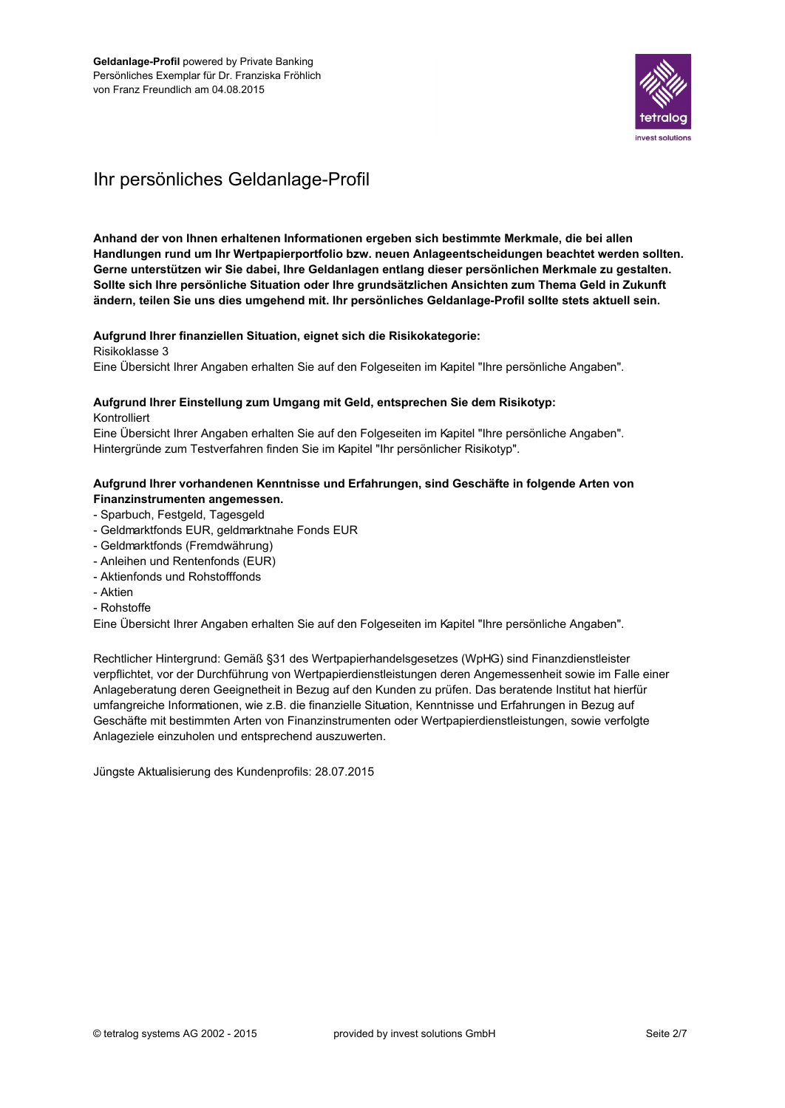

# Ihr persönliches Geldanlage-Profil

Anhand der von Ihnen erhaltenen Informationen ergeben sich bestimmte Merkmale, die bei allen Handlungen rund um Ihr Wertpapierportfolio bzw. neuen Anlageentscheidungen beachtet werden sollten. Gerne unterstützen wir Sie dabei, Ihre Geldanlagen entlang dieser persönlichen Merkmale zu gestalten. Sollte sich Ihre persönliche Situation oder Ihre grundsätzlichen Ansichten zum Thema Geld in Zukunft ändern, teilen Sie uns dies umgehend mit. Ihr persönliches Geldanlage-Profil sollte stets aktuell sein.

#### Aufgrund Ihrer finanziellen Situation, eignet sich die Risikokategorie:

Risikoklasse 3

Eine Übersicht Ihrer Angaben erhalten Sie auf den Folgeseiten im Kapitel "Ihre persönliche Angaben".

## Aufgrund Ihrer Einstellung zum Umgang mit Geld, entsprechen Sie dem Risikotyp:

Kontrolliert

Eine Übersicht Ihrer Angaben erhalten Sie auf den Folgeseiten im Kapitel "Ihre persönliche Angaben". Hintergründe zum Testverfahren finden Sie im Kapitel "Ihr persönlicher Risikotyp".

### Aufgrund Ihrer vorhandenen Kenntnisse und Erfahrungen, sind Geschäfte in folgende Arten von Finanzinstrumenten angemessen.

- Sparbuch, Festgeld, Tagesgeld
- Geldmarktfonds EUR, geldmarktnahe Fonds EUR
- Geldmarktfonds (Fremdwährung)
- Anleihen und Rentenfonds (EUR)
- Aktienfonds und Rohstofffonds
- Aktien
- Rohstoffe

Eine Übersicht Ihrer Angaben erhalten Sie auf den Folgeseiten im Kapitel "Ihre persönliche Angaben".

Rechtlicher Hintergrund: Gemäß §31 des Wertpapierhandelsgesetzes (WpHG) sind Finanzdienstleister verpflichtet, vor der Durchführung von Wertpapierdienstleistungen deren Angemessenheit sowie im Falle einer Anlageberatung deren Geeignetheit in Bezug auf den Kunden zu prüfen. Das beratende Institut hat hierfür umfangreiche Informationen, wie z.B. die finanzielle Situation, Kenntnisse und Erfahrungen in Bezug auf Geschäfte mit bestimmten Arten von Finanzinstrumenten oder Wertpapierdienstleistungen, sowie verfolgte Anlageziele einzuholen und entsprechend auszuwerten.

Jüngste Aktualisierung des Kundenprofils: 28.07.2015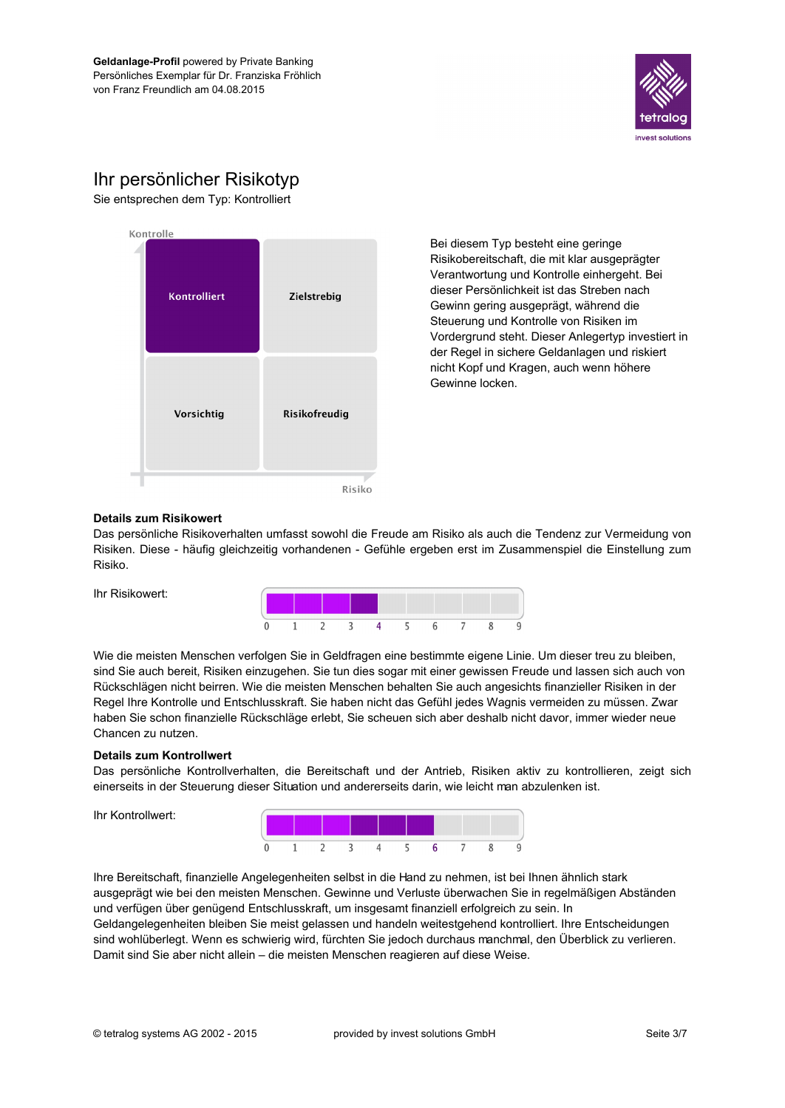

# Ihr persönlicher Risikotyp

Sie entsprechen dem Typ: Kontrolliert



Bei diesem Typ besteht eine geringe Risikobereitschaft, die mit klar ausgeprägter Verantwortung und Kontrolle einhergeht. Bei dieser Persönlichkeit ist das Streben nach Gewinn gering ausgeprägt, während die Steuerung und Kontrolle von Risiken im Vordergrund steht. Dieser Anlegertyp investiert in der Regel in sichere Geldanlagen und riskiert nicht Kopf und Kragen, auch wenn höhere Gewinne locken.

#### **Details zum Risikowert**

Ihr Risikowert:

Das persönliche Risikoverhalten umfasst sowohl die Freude am Risiko als auch die Tendenz zur Vermeidung von Risiken. Diese - häufig gleichzeitig vorhandenen - Gefühle ergeben erst im Zusammenspiel die Einstellung zum Risiko.



Wie die meisten Menschen verfolgen Sie in Geldfragen eine bestimmte eigene Linie. Um dieser treu zu bleiben, sind Sie auch bereit, Risiken einzugehen. Sie tun dies sogar mit einer gewissen Freude und lassen sich auch von Rückschlägen nicht beirren. Wie die meisten Menschen behalten Sie auch angesichts finanzieller Risiken in der Regel Ihre Kontrolle und Entschlusskraft. Sie haben nicht das Gefühl jedes Wagnis vermeiden zu müssen. Zwar haben Sie schon finanzielle Rückschläge erlebt, Sie scheuen sich aber deshalb nicht davor, immer wieder neue Chancen zu nutzen.

#### **Details zum Kontrollwert**

Das persönliche Kontrollverhalten, die Bereitschaft und der Antrieb, Risiken aktiv zu kontrollieren, zeigt sich einerseits in der Steuerung dieser Situation und andererseits darin, wie leicht man abzulenken ist.

Ihr Kontrollwert:



Ihre Bereitschaft, finanzielle Angelegenheiten selbst in die Hand zu nehmen, ist bei Ihnen ähnlich stark ausgeprägt wie bei den meisten Menschen. Gewinne und Verluste überwachen Sie in regelmäßigen Abständen und verfügen über genügend Entschlusskraft, um insgesamt finanziell erfolgreich zu sein. In Geldangelegenheiten bleiben Sie meist gelassen und handeln weitestgehend kontrolliert. Ihre Entscheidungen sind wohlüberlegt. Wenn es schwierig wird, fürchten Sie jedoch durchaus manchmal, den Überblick zu verlieren. Damit sind Sie aber nicht allein - die meisten Menschen reagieren auf diese Weise.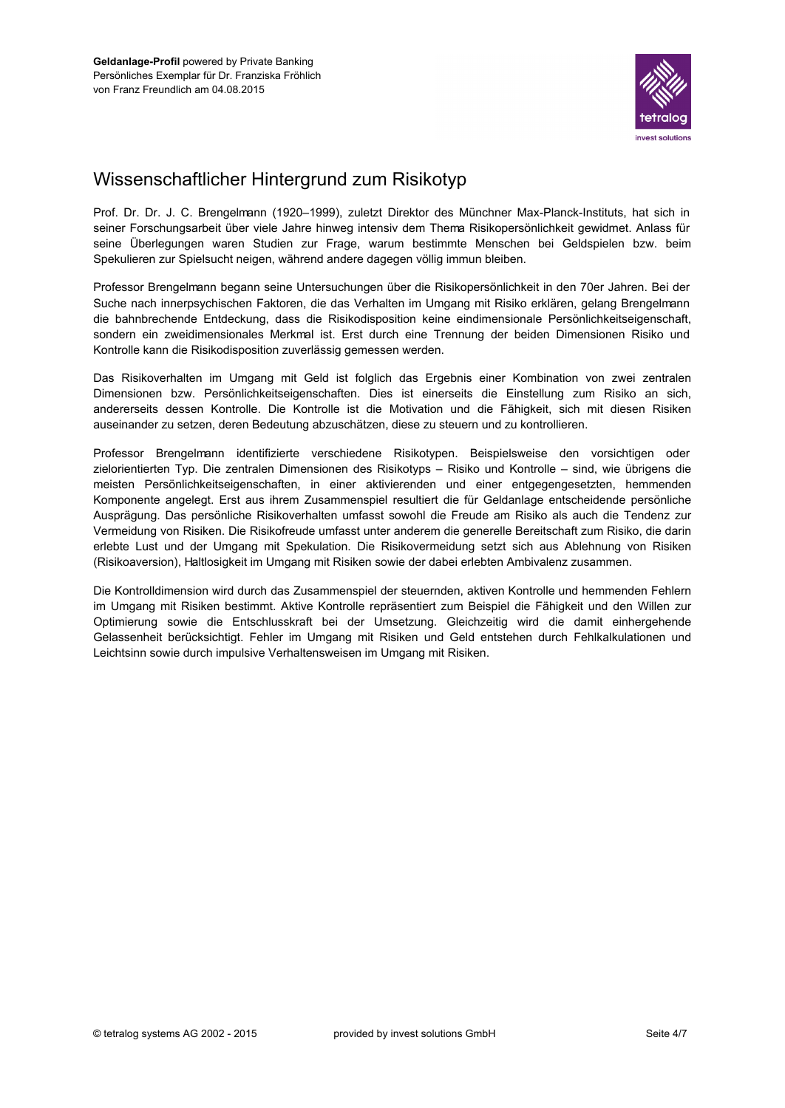

# Wissenschaftlicher Hintergrund zum Risikotyp

Prof. Dr. Dr. J. C. Brengelmann (1920-1999), zuletzt Direktor des Münchner Max-Planck-Instituts, hat sich in seiner Forschungsarbeit über viele Jahre hinweg intensiv dem Thema Risikopersönlichkeit gewidmet. Anlass für seine Überlegungen waren Studien zur Frage, warum bestimmte Menschen bei Geldspielen bzw. beim Spekulieren zur Spielsucht neigen, während andere dagegen völlig immun bleiben.

Professor Brengelmann begann seine Untersuchungen über die Risikopersönlichkeit in den 70er Jahren. Bei der Suche nach innerpsychischen Faktoren, die das Verhalten im Umgang mit Risiko erklären, gelang Brengelmann die bahnbrechende Entdeckung, dass die Risikodisposition keine eindimensionale Persönlichkeitseigenschaft, sondern ein zweidimensionales Merkmal ist. Erst durch eine Trennung der beiden Dimensionen Risiko und Kontrolle kann die Risikodisposition zuverlässig gemessen werden.

Das Risikoverhalten im Umgang mit Geld ist folglich das Ergebnis einer Kombination von zwei zentralen Dimensionen bzw. Persönlichkeitseigenschaften. Dies ist einerseits die Einstellung zum Risiko an sich, andererseits dessen Kontrolle. Die Kontrolle ist die Motivation und die Fähigkeit, sich mit diesen Risiken auseinander zu setzen, deren Bedeutung abzuschätzen, diese zu steuern und zu kontrollieren.

Professor Brengelmann identifizierte verschiedene Risikotypen. Beispielsweise den vorsichtigen oder zielorientierten Typ. Die zentralen Dimensionen des Risikotyps – Risiko und Kontrolle – sind, wie übrigens die meisten Persönlichkeitseigenschaften, in einer aktivierenden und einer entgegengesetzten, hemmenden Komponente angelegt. Erst aus ihrem Zusammenspiel resultiert die für Geldanlage entscheidende persönliche Ausprägung. Das persönliche Risikoverhalten umfasst sowohl die Freude am Risiko als auch die Tendenz zur Vermeidung von Risiken. Die Risikofreude umfasst unter anderem die generelle Bereitschaft zum Risiko, die darin erlebte Lust und der Umgang mit Spekulation. Die Risikovermeidung setzt sich aus Ablehnung von Risiken (Risikoaversion), Haltlosigkeit im Umgang mit Risiken sowie der dabei erlebten Ambivalenz zusammen.

Die Kontrolldimension wird durch das Zusammenspiel der steuernden, aktiven Kontrolle und hemmenden Fehlern im Umgang mit Risiken bestimmt. Aktive Kontrolle repräsentiert zum Beispiel die Fähigkeit und den Willen zur Optimierung sowie die Entschlusskraft bei der Umsetzung. Gleichzeitig wird die damit einhergehende Gelassenheit berücksichtigt. Fehler im Umgang mit Risiken und Geld entstehen durch Fehlkalkulationen und Leichtsinn sowie durch impulsive Verhaltensweisen im Umgang mit Risiken.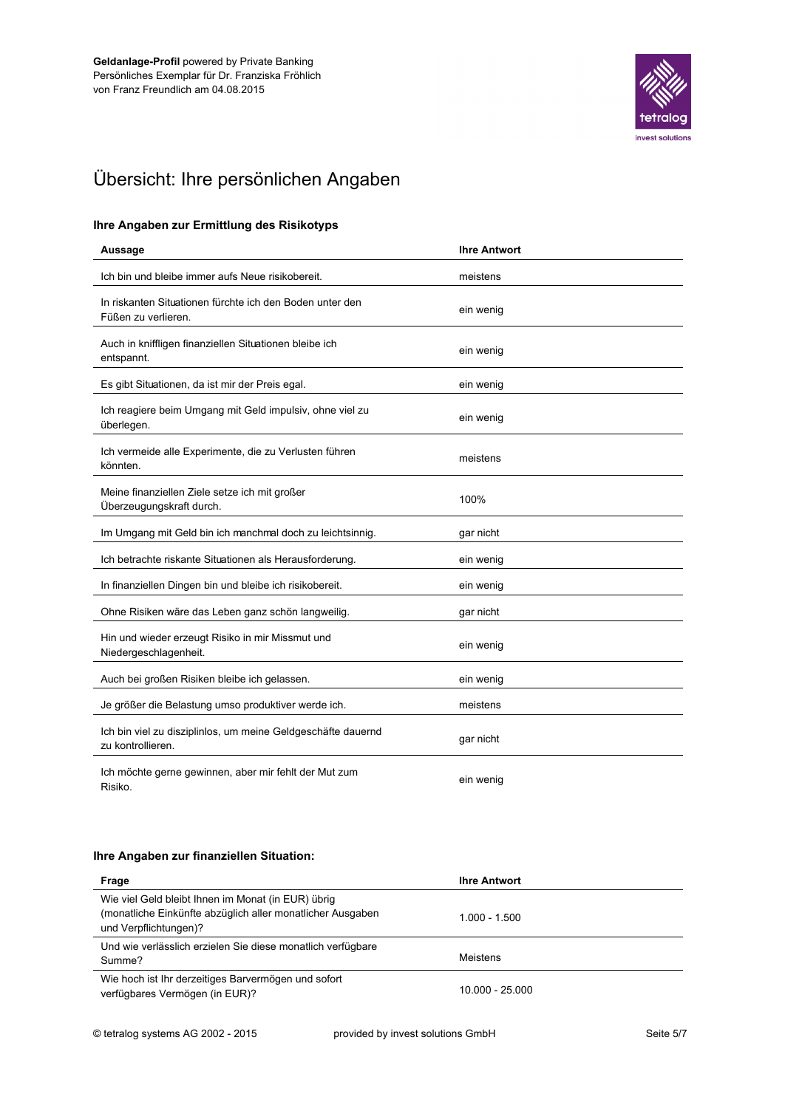![](_page_4_Picture_1.jpeg)

# Übersicht: Ihre persönlichen Angaben

### Ihre Angaben zur Ermittlung des Risikotyps

| Aussage                                                                           | <b>Ihre Antwort</b> |
|-----------------------------------------------------------------------------------|---------------------|
| Ich bin und bleibe immer aufs Neue risikobereit.                                  | meistens            |
| In riskanten Situationen fürchte ich den Boden unter den<br>Füßen zu verlieren.   | ein wenig           |
| Auch in kniffligen finanziellen Situationen bleibe ich<br>entspannt.              | ein wenig           |
| Es gibt Situationen, da ist mir der Preis egal.                                   | ein wenig           |
| Ich reagiere beim Umgang mit Geld impulsiv, ohne viel zu<br>überlegen.            | ein wenig           |
| Ich vermeide alle Experimente, die zu Verlusten führen<br>könnten.                | meistens            |
| Meine finanziellen Ziele setze ich mit großer<br>Überzeugungskraft durch.         | 100%                |
| Im Umgang mit Geld bin ich manchmal doch zu leichtsinnig.                         | gar nicht           |
| Ich betrachte riskante Situationen als Herausforderung.                           | ein wenig           |
| In finanziellen Dingen bin und bleibe ich risikobereit.                           | ein wenig           |
| Ohne Risiken wäre das Leben ganz schön langweilig.                                | gar nicht           |
| Hin und wieder erzeugt Risiko in mir Missmut und<br>Niedergeschlagenheit.         | ein wenig           |
| Auch bei großen Risiken bleibe ich gelassen.                                      | ein wenig           |
| Je größer die Belastung umso produktiver werde ich.                               | meistens            |
| Ich bin viel zu disziplinlos, um meine Geldgeschäfte dauernd<br>zu kontrollieren. | gar nicht           |
| Ich möchte gerne gewinnen, aber mir fehlt der Mut zum<br>Risiko.                  | ein wenig           |

### Ihre Angaben zur finanziellen Situation:

| Frage                                                                                                                                     | <b>Ihre Antwort</b> |
|-------------------------------------------------------------------------------------------------------------------------------------------|---------------------|
| Wie viel Geld bleibt Ihnen im Monat (in EUR) übrig<br>(monatliche Einkünfte abzüglich aller monatlicher Ausgaben<br>und Verpflichtungen)? | $1.000 - 1.500$     |
| Und wie verlässlich erzielen Sie diese monatlich verfügbare<br>Summe?                                                                     | Meistens            |
| Wie hoch ist Ihr derzeitiges Barvermögen und sofort<br>verfügbares Vermögen (in EUR)?                                                     | $10.000 - 25.000$   |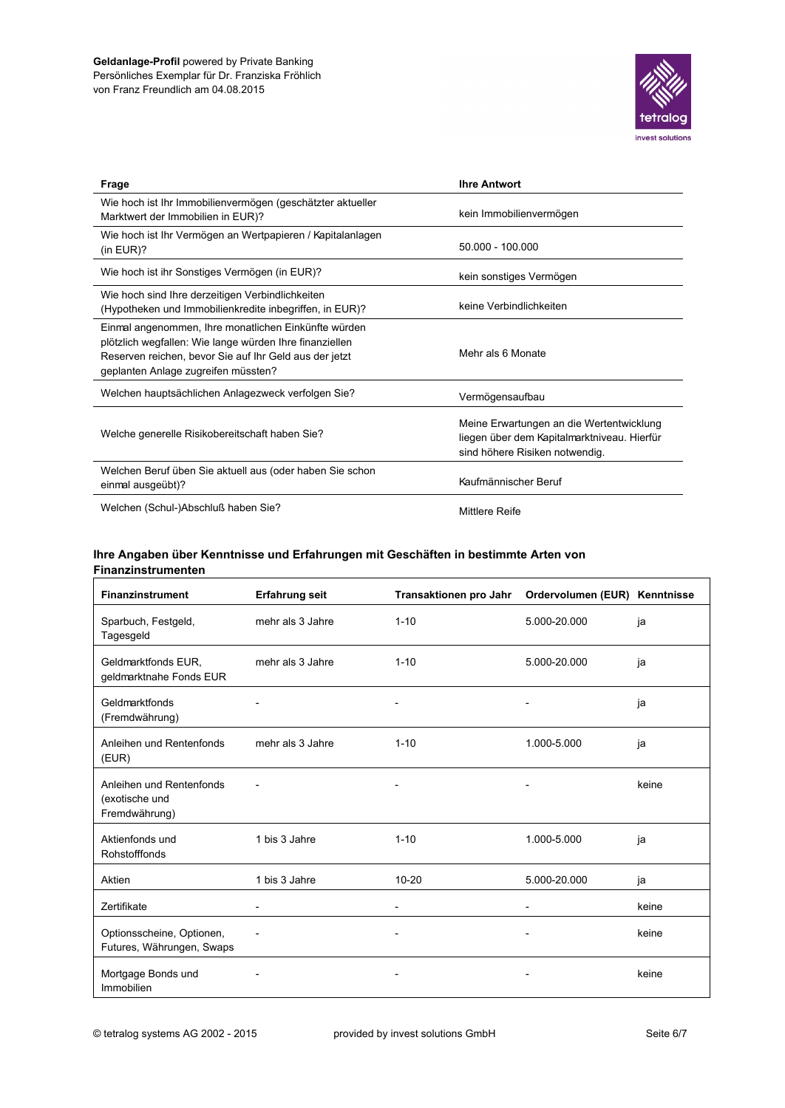![](_page_5_Picture_1.jpeg)

| Frage                                                                                                                                                                                                            | <b>Ihre Antwort</b>                                                                                                       |
|------------------------------------------------------------------------------------------------------------------------------------------------------------------------------------------------------------------|---------------------------------------------------------------------------------------------------------------------------|
| Wie hoch ist Ihr Immobilienvermögen (geschätzter aktueller<br>Marktwert der Immobilien in EUR)?                                                                                                                  | kein Immobilienvermögen                                                                                                   |
| Wie hoch ist Ihr Vermögen an Wertpapieren / Kapitalanlagen<br>(in $EUR$ )?                                                                                                                                       | 50.000 - 100.000                                                                                                          |
| Wie hoch ist ihr Sonstiges Vermögen (in EUR)?                                                                                                                                                                    | kein sonstiges Vermögen                                                                                                   |
| Wie hoch sind Ihre derzeitigen Verbindlichkeiten<br>(Hypotheken und Immobilienkredite inbegriffen, in EUR)?                                                                                                      | keine Verbindlichkeiten                                                                                                   |
| Einmal angenommen, Ihre monatlichen Einkünfte würden<br>plötzlich wegfallen: Wie lange würden Ihre finanziellen<br>Reserven reichen, bevor Sie auf Ihr Geld aus der jetzt<br>geplanten Anlage zugreifen müssten? | Mehr als 6 Monate                                                                                                         |
| Welchen hauptsächlichen Anlagezweck verfolgen Sie?                                                                                                                                                               | Vermögensaufbau                                                                                                           |
| Welche generelle Risikobereitschaft haben Sie?                                                                                                                                                                   | Meine Erwartungen an die Wertentwicklung<br>liegen über dem Kapitalmarktniveau. Hierfür<br>sind höhere Risiken notwendig. |
| Welchen Beruf üben Sie aktuell aus (oder haben Sie schon<br>einmal ausgeübt)?                                                                                                                                    | Kaufmännischer Beruf                                                                                                      |
| Welchen (Schul-)Abschluß haben Sie?                                                                                                                                                                              | Mittlere Reife                                                                                                            |

### Ihre Angaben über Kenntnisse und Erfahrungen mit Geschäften in bestimmte Arten von Finanzinstrumenten

| <b>Finanzinstrument</b>                                     | <b>Erfahrung seit</b> | Transaktionen pro Jahr   | Ordervolumen (EUR) Kenntnisse |       |
|-------------------------------------------------------------|-----------------------|--------------------------|-------------------------------|-------|
| Sparbuch, Festgeld,<br>Tagesgeld                            | mehr als 3 Jahre      | $1 - 10$                 | 5.000-20.000                  | ja    |
| Geldmarktfonds EUR,<br>geldmarktnahe Fonds EUR              | mehr als 3 Jahre      | $1 - 10$                 | 5.000-20.000                  | ja    |
| Geldmarktfonds<br>(Fremdwährung)                            |                       |                          |                               | ja    |
| Anleihen und Rentenfonds<br>(EUR)                           | mehr als 3 Jahre      | $1 - 10$                 | 1.000-5.000                   | ja    |
| Anleihen und Rentenfonds<br>(exotische und<br>Fremdwährung) |                       |                          |                               | keine |
| Aktienfonds und<br>Rohstofffonds                            | 1 bis 3 Jahre         | $1 - 10$                 | 1.000-5.000                   | ja    |
| Aktien                                                      | 1 bis 3 Jahre         | $10 - 20$                | 5.000-20.000                  | ja    |
| Zertifikate                                                 |                       | $\overline{\phantom{a}}$ | $\overline{a}$                | keine |
| Optionsscheine, Optionen,<br>Futures, Währungen, Swaps      |                       |                          |                               | keine |
| Mortgage Bonds und<br>Immobilien                            |                       |                          |                               | keine |